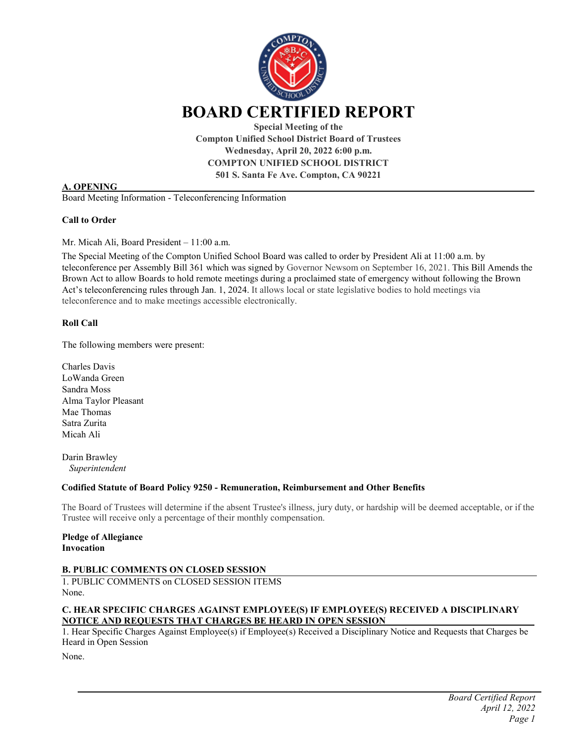

**Compton Unified School District Board of Trustees Wednesday, April 20, 2022 6:00 p.m. COMPTON UNIFIED SCHOOL DISTRICT 501 S. Santa Fe Ave. Compton, CA 90221**

### **A. OPENING**

Board Meeting Information - Teleconferencing Information

## **Call to Order**

Mr. Micah Ali, Board President – 11:00 a.m.

The Special Meeting of the Compton Unified School Board was called to order by President Ali at 11:00 a.m. by teleconference per Assembly Bill 361 which was signed by Governor Newsom on September 16, 2021. This Bill Amends the Brown Act to allow Boards to hold remote meetings during a proclaimed state of emergency without following the Brown Act's teleconferencing rules through Jan. 1, 2024. It allows local or state legislative bodies to hold meetings via teleconference and to make meetings accessible electronically.

## **Roll Call**

The following members were present:

Charles Davis LoWanda Green Sandra Moss Alma Taylor Pleasant Mae Thomas Satra Zurita Micah Ali

Darin Brawley *Superintendent* 

### **Codified Statute of Board Policy 9250 - Remuneration, Reimbursement and Other Benefits**

The Board of Trustees will determine if the absent Trustee's illness, jury duty, or hardship will be deemed acceptable, or if the Trustee will receive only a percentage of their monthly compensation.

**Pledge of Allegiance Invocation**

# **B. PUBLIC COMMENTS ON CLOSED SESSION**

1. PUBLIC COMMENTS on CLOSED SESSION ITEMS None.

## **C. HEAR SPECIFIC CHARGES AGAINST EMPLOYEE(S) IF EMPLOYEE(S) RECEIVED A DISCIPLINARY NOTICE AND REQUESTS THAT CHARGES BE HEARD IN OPEN SESSION**

1. Hear Specific Charges Against Employee(s) if Employee(s) Received a Disciplinary Notice and Requests that Charges be Heard in Open Session

None.